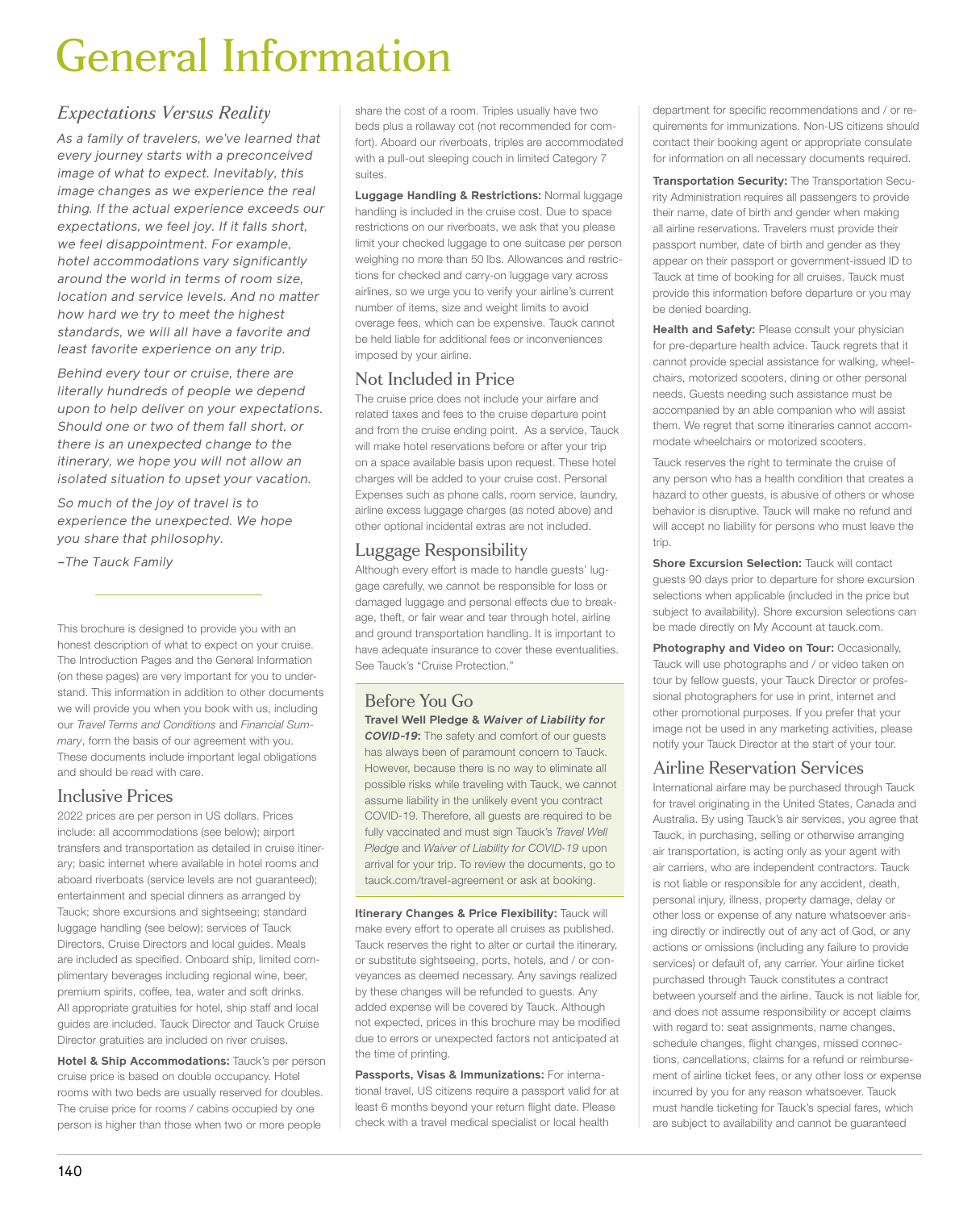# General Information

# *Expectations Versus Reality*

*As a family of travelers, we've learned that every journey starts with a preconceived image of what to expect. Inevitably, this image changes as we experience the real thing. If the actual experience exceeds our expectations, we feel joy. If it falls short, we feel disappointment. For example, hotel accommodations vary significantly around the world in terms of room size, location and service levels. And no matter how hard we try to meet the highest standards, we will all have a favorite and least favorite experience on any trip.*

*Behind every tour or cruise, there are literally hundreds of people we depend upon to help deliver on your expectations. Should one or two of them fall short, or there is an unexpected change to the itinerary, we hope you will not allow an isolated situation to upset your vacation.*

*So much of the joy of travel is to experience the unexpected. We hope you share that philosophy.*

*–The Tauck Family*

This brochure is designed to provide you with an honest description of what to expect on your cruise. The Introduction Pages and the General Information (on these pages) are very important for you to understand. This information in addition to other documents we will provide you when you book with us, including our *Travel Terms and Conditions* and *Financial Summary*, form the basis of our agreement with you. These documents include important legal obligations and should be read with care.

## Inclusive Prices

2022 prices are per person in US dollars. Prices include: all accommodations (see below); airport transfers and transportation as detailed in cruise itinerary; basic internet where available in hotel rooms and aboard riverboats (service levels are not guaranteed); entertainment and special dinners as arranged by Tauck; shore excursions and sightseeing; standard luggage handling (see below); services of Tauck Directors, Cruise Directors and local guides. Meals are included as specified. Onboard ship, limited complimentary beverages including regional wine, beer, premium spirits, coffee, tea, water and soft drinks. All appropriate gratuities for hotel, ship staff and local guides are included. Tauck Director and Tauck Cruise Director gratuities are included on river cruises.

**Hotel & Ship Accommodations:** Tauck's per person cruise price is based on double occupancy. Hotel rooms with two beds are usually reserved for doubles. The cruise price for rooms / cabins occupied by one person is higher than those when two or more people

share the cost of a room. Triples usually have two beds plus a rollaway cot (not recommended for comfort). Aboard our riverboats, triples are accommodated with a pull-out sleeping couch in limited Category 7 suites.

**Luggage Handling & Restrictions:** Normal luggage handling is included in the cruise cost. Due to space restrictions on our riverboats, we ask that you please limit your checked luggage to one suitcase per person weighing no more than 50 lbs. Allowances and restrictions for checked and carry-on luggage vary across airlines, so we urge you to verify your airline's current number of items, size and weight limits to avoid overage fees, which can be expensive. Tauck cannot be held liable for additional fees or inconveniences imposed by your airline.

### Not Included in Price

The cruise price does not include your airfare and related taxes and fees to the cruise departure point and from the cruise ending point. As a service, Tauck will make hotel reservations before or after your trip on a space available basis upon request. These hotel charges will be added to your cruise cost. Personal Expenses such as phone calls, room service, laundry, airline excess luggage charges (as noted above) and other optional incidental extras are not included.

### Luggage Responsibility

Although every effort is made to handle guests' luggage carefully, we cannot be responsible for loss or damaged luggage and personal effects due to breakage, theft, or fair wear and tear through hotel, airline and ground transportation handling. It is important to have adequate insurance to cover these eventualities. See Tauck's "Cruise Protection."

#### Before You Go **Travel Well Pledge &** *Waiver of Liability for COVID-19***:** The safety and comfort of our guests has always been of paramount concern to Tauck.

However, because there is no way to eliminate all possible risks while traveling with Tauck, we cannot assume liability in the unlikely event you contract COVID-19. Therefore, all guests are required to be fully vaccinated and must sign Tauck's *Travel Well Pledge* and *Waiver of Liability for COVID-19* upon arrival for your trip. To review the documents, go to tauck.com/travel-agreement or ask at booking.

**Itinerary Changes & Price Flexibility:** Tauck will make every effort to operate all cruises as published. Tauck reserves the right to alter or curtail the itinerary, or substitute sightseeing, ports, hotels, and / or conveyances as deemed necessary. Any savings realized by these changes will be refunded to guests. Any added expense will be covered by Tauck. Although not expected, prices in this brochure may be modified due to errors or unexpected factors not anticipated at the time of printing.

**Passports, Visas & Immunizations:** For international travel, US citizens require a passport valid for at least 6 months beyond your return flight date. Please check with a travel medical specialist or local health

department for specific recommendations and / or requirements for immunizations. Non-US citizens should contact their booking agent or appropriate consulate for information on all necessary documents required.

**Transportation Security:** The Transportation Security Administration requires all passengers to provide their name, date of birth and gender when making all airline reservations. Travelers must provide their passport number, date of birth and gender as they appear on their passport or government-issued ID to Tauck at time of booking for all cruises. Tauck must provide this information before departure or you may be denied boarding.

**Health and Safety: Please consult your physician** for pre-departure health advice. Tauck regrets that it cannot provide special assistance for walking, wheelchairs, motorized scooters, dining or other personal needs. Guests needing such assistance must be accompanied by an able companion who will assist them. We regret that some itineraries cannot accommodate wheelchairs or motorized scooters.

Tauck reserves the right to terminate the cruise of any person who has a health condition that creates a hazard to other guests, is abusive of others or whose behavior is disruptive. Tauck will make no refund and will accept no liability for persons who must leave the trin

**Shore Excursion Selection: Tauck will contact** guests 90 days prior to departure for shore excursion selections when applicable (included in the price but subject to availability). Shore excursion selections can be made directly on My Account at tauck.com.

**Photography and Video on Tour:** Occasionally, Tauck will use photographs and / or video taken on tour by fellow guests, your Tauck Director or professional photographers for use in print, internet and other promotional purposes. If you prefer that your image not be used in any marketing activities, please notify your Tauck Director at the start of your tour.

# Airline Reservation Services

International airfare may be purchased through Tauck for travel originating in the United States, Canada and Australia. By using Tauck's air services, you agree that Tauck, in purchasing, selling or otherwise arranging air transportation, is acting only as your agent with air carriers, who are independent contractors. Tauck is not liable or responsible for any accident, death, personal injury, illness, property damage, delay or other loss or expense of any nature whatsoever arising directly or indirectly out of any act of God, or any actions or omissions (including any failure to provide services) or default of, any carrier. Your airline ticket purchased through Tauck constitutes a contract between yourself and the airline. Tauck is not liable for, and does not assume responsibility or accept claims with regard to: seat assignments, name changes, schedule changes, flight changes, missed connections, cancellations, claims for a refund or reimbursement of airline ticket fees, or any other loss or expense incurred by you for any reason whatsoever. Tauck must handle ticketing for Tauck's special fares, which are subject to availability and cannot be guaranteed